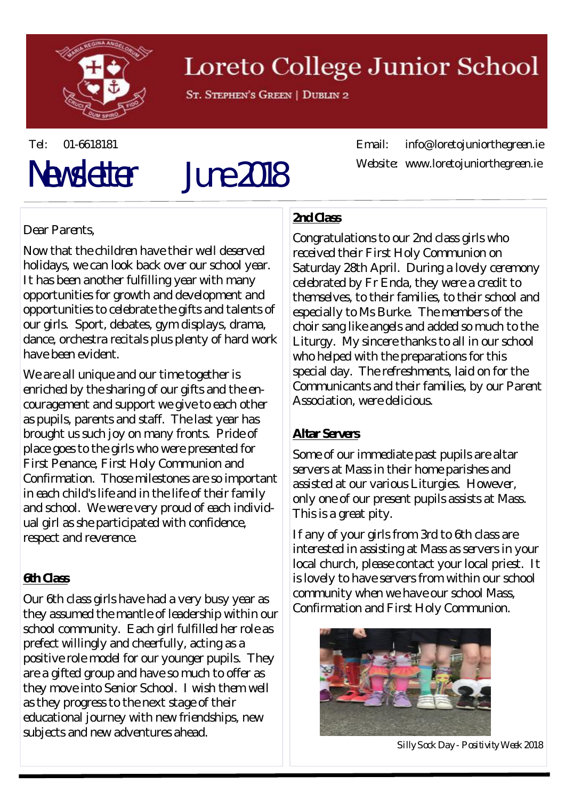

# Loreto College Junior School

ST. STEPHEN'S GREEN | DUBLIN 2

# Newsletter June 2018

Tel: 01-6618181 Email: info@loretojuniorthegreen.ie Website: www.loretojuniorthegreen.ie

# Dear Parents,

Now that the children have their well deserved holidays, we can look back over our school year. It has been another fulfilling year with many opportunities for growth and development and opportunities to celebrate the gifts and talents of our girls. Sport, debates, gym displays, drama, dance, orchestra recitals plus plenty of hard work have been evident.

We are all unique and our time together is enriched by the sharing of our gifts and the encouragement and support we give to each other as pupils, parents and staff. The last year has brought us such joy on many fronts. Pride of place goes to the girls who were presented for First Penance, First Holy Communion and Confirmation. Those milestones are so important in each child's life and in the life of their family and school. We were very proud of each individual girl as she participated with confidence, respect and reverence.

### **6th Class**

Our 6th class girls have had a very busy year as they assumed the mantle of leadership within our school community. Each girl fulfilled her role as prefect willingly and cheerfully, acting as a positive role model for our younger pupils. They are a gifted group and have so much to offer as they move into Senior School. I wish them well as they progress to the next stage of their educational journey with new friendships, new subjects and new adventures ahead.

### **2nd Class**

Congratulations to our 2nd class girls who received their First Holy Communion on Saturday 28th April. During a lovely ceremony celebrated by Fr Enda, they were a credit to themselves, to their families, to their school and especially to Ms Burke. The members of the choir sang like angels and added so much to the Liturgy. My sincere thanks to all in our school who helped with the preparations for this special day. The refreshments, laid on for the Communicants and their families, by our Parent Association, were delicious.

## **Altar Servers**

Some of our immediate past pupils are altar servers at Mass in their home parishes and assisted at our various Liturgies. However, only one of our present pupils assists at Mass. This is a great pity.

If any of your girls from 3rd to 6th class are interested in assisting at Mass as servers in your local church, please contact your local priest. It is lovely to have servers from within our school community when we have our school Mass, Confirmation and First Holy Communion.



*Silly Sock Day - Positivity Week 2018*